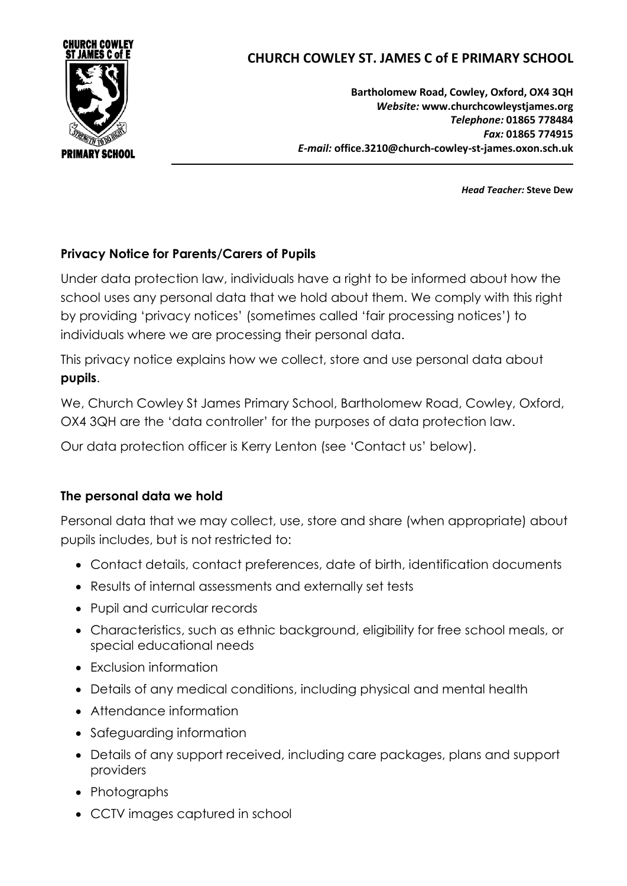

# **CHURCH COWLEY ST. JAMES C of E PRIMARY SCHOOL**

**Bartholomew Road, Cowley, Oxford, OX4 3QH** *Website:* **www.churchcowleystjames.org** *Telephone:* **01865 778484** *Fax:* **01865 774915** *E-mail:* **office.3210@church-cowley-st-james.oxon.sch.uk**

*Head Teacher:* **Steve Dew**

#### **Privacy Notice for Parents/Carers of Pupils**

Under data protection law, individuals have a right to be informed about how the school uses any personal data that we hold about them. We comply with this right by providing 'privacy notices' (sometimes called 'fair processing notices') to individuals where we are processing their personal data.

This privacy notice explains how we collect, store and use personal data about **pupils**.

We, Church Cowley St James Primary School, Bartholomew Road, Cowley, Oxford, OX4 3QH are the 'data controller' for the purposes of data protection law.

Our data protection officer is Kerry Lenton (see 'Contact us' below).

#### **The personal data we hold**

Personal data that we may collect, use, store and share (when appropriate) about pupils includes, but is not restricted to:

- Contact details, contact preferences, date of birth, identification documents
- Results of internal assessments and externally set tests
- Pupil and curricular records
- Characteristics, such as ethnic background, eligibility for free school meals, or special educational needs
- Exclusion information
- Details of any medical conditions, including physical and mental health
- Attendance information
- Safeguarding information
- Details of any support received, including care packages, plans and support providers
- Photographs
- CCTV images captured in school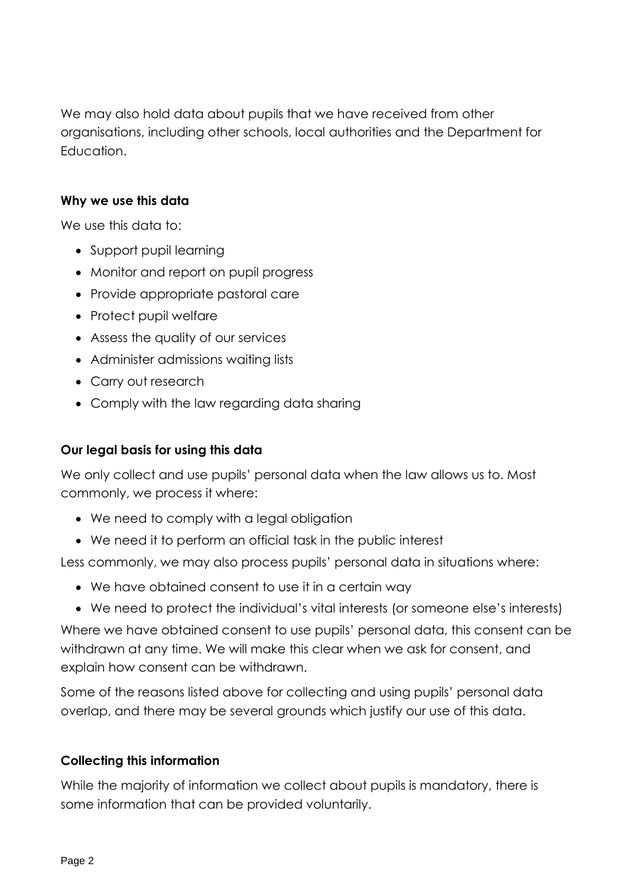We may also hold data about pupils that we have received from other organisations, including other schools, local authorities and the Department for Education.

#### **Why we use this data**

We use this data to:

- Support pupil learning
- Monitor and report on pupil progress
- Provide appropriate pastoral care
- Protect pupil welfare
- Assess the quality of our services
- Administer admissions waiting lists
- Carry out research
- Comply with the law regarding data sharing

### **Our legal basis for using this data**

We only collect and use pupils' personal data when the law allows us to. Most commonly, we process it where:

- We need to comply with a legal obligation
- We need it to perform an official task in the public interest

Less commonly, we may also process pupils' personal data in situations where:

- We have obtained consent to use it in a certain way
- We need to protect the individual's vital interests (or someone else's interests)

Where we have obtained consent to use pupils' personal data, this consent can be withdrawn at any time. We will make this clear when we ask for consent, and explain how consent can be withdrawn.

Some of the reasons listed above for collecting and using pupils' personal data overlap, and there may be several grounds which justify our use of this data.

#### **Collecting this information**

While the majority of information we collect about pupils is mandatory, there is some information that can be provided voluntarily.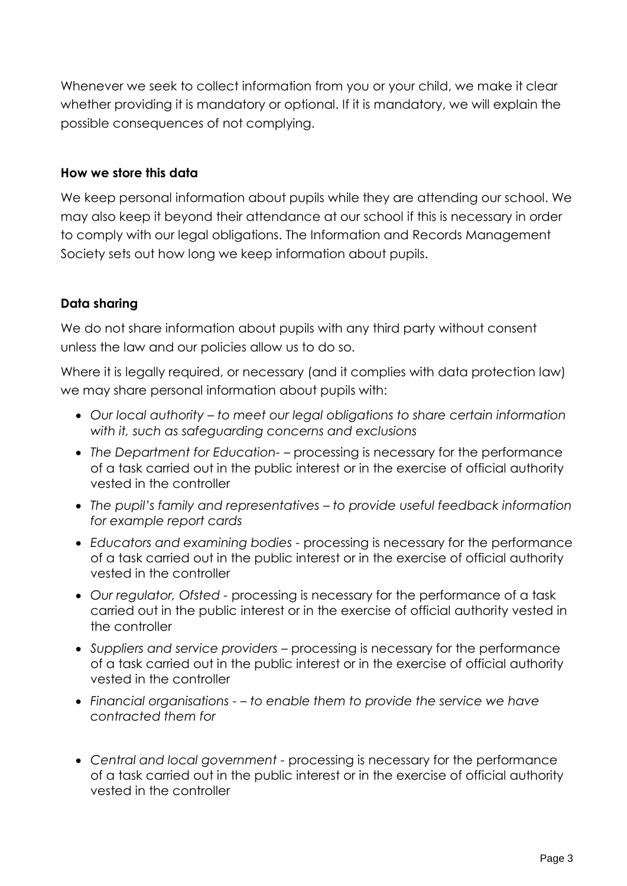Whenever we seek to collect information from you or your child, we make it clear whether providing it is mandatory or optional. If it is mandatory, we will explain the possible consequences of not complying.

#### **How we store this data**

We keep personal information about pupils while they are attending our school. We may also keep it beyond their attendance at our school if this is necessary in order to comply with our legal obligations. The Information and Records Management Society sets out how long we keep information about pupils.

#### **Data sharing**

We do not share information about pupils with any third party without consent unless the law and our policies allow us to do so.

Where it is legally required, or necessary (and it complies with data protection law) we may share personal information about pupils with:

- *Our local authority – to meet our legal obligations to share certain information with it, such as safeguarding concerns and exclusions*
- *The Department for Education- –* processing is necessary for the performance of a task carried out in the public interest or in the exercise of official authority vested in the controller
- *The pupil's family and representatives – to provide useful feedback information for example report cards*
- *Educators and examining bodies -* processing is necessary for the performance of a task carried out in the public interest or in the exercise of official authority vested in the controller
- *Our regulator, Ofsted -* processing is necessary for the performance of a task carried out in the public interest or in the exercise of official authority vested in the controller
- Suppliers and service providers processing is necessary for the performance of a task carried out in the public interest or in the exercise of official authority vested in the controller
- *Financial organisations - – to enable them to provide the service we have contracted them for*
- *Central and local government -* processing is necessary for the performance of a task carried out in the public interest or in the exercise of official authority vested in the controller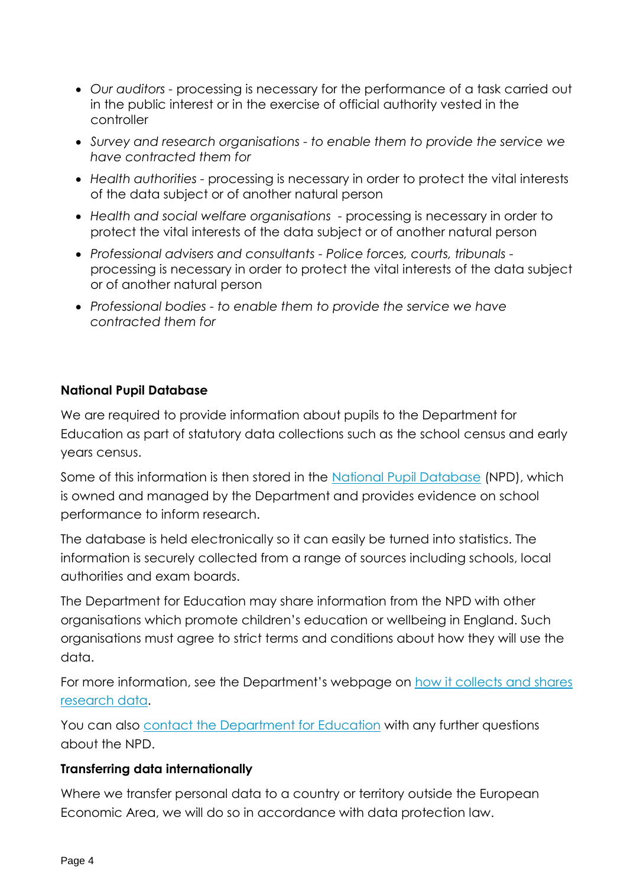- *Our auditors -* processing is necessary for the performance of a task carried out in the public interest or in the exercise of official authority vested in the controller
- *Survey and research organisations - to enable them to provide the service we have contracted them for*
- *Health authorities -* processing is necessary in order to protect the vital interests of the data subject or of another natural person
- *Health and social welfare organisations -* processing is necessary in order to protect the vital interests of the data subject or of another natural person
- *Professional advisers and consultants - Police forces, courts, tribunals*  processing is necessary in order to protect the vital interests of the data subject or of another natural person
- *Professional bodies - to enable them to provide the service we have contracted them for*

## **National Pupil Database**

We are required to provide information about pupils to the Department for Education as part of statutory data collections such as the school census and early years census.

Some of this information is then stored in the [National Pupil Database](https://www.gov.uk/government/publications/national-pupil-database-user-guide-and-supporting-information) (NPD), which is owned and managed by the Department and provides evidence on school performance to inform research.

The database is held electronically so it can easily be turned into statistics. The information is securely collected from a range of sources including schools, local authorities and exam boards.

The Department for Education may share information from the NPD with other organisations which promote children's education or wellbeing in England. Such organisations must agree to strict terms and conditions about how they will use the data.

For more information, see the Department's webpage on [how it collects and shares](https://www.gov.uk/data-protection-how-we-collect-and-share-research-data)  [research data.](https://www.gov.uk/data-protection-how-we-collect-and-share-research-data)

You can also [contact the Department for Education](https://www.gov.uk/contact-dfe) with any further questions about the NPD.

## **Transferring data internationally**

Where we transfer personal data to a country or territory outside the European Economic Area, we will do so in accordance with data protection law.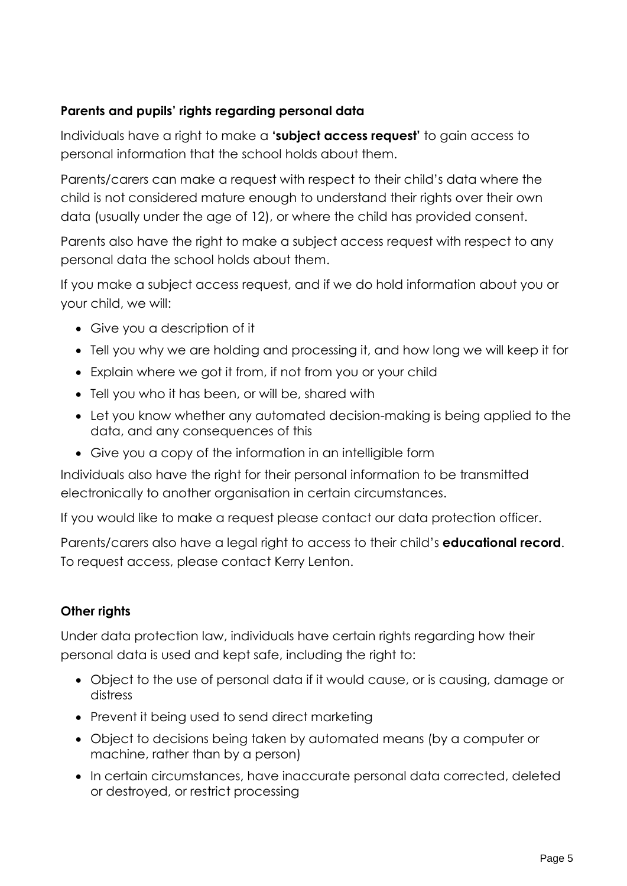## **Parents and pupils' rights regarding personal data**

Individuals have a right to make a **'subject access request'** to gain access to personal information that the school holds about them.

Parents/carers can make a request with respect to their child's data where the child is not considered mature enough to understand their rights over their own data (usually under the age of 12), or where the child has provided consent.

Parents also have the right to make a subject access request with respect to any personal data the school holds about them.

If you make a subject access request, and if we do hold information about you or your child, we will:

- Give you a description of it
- Tell you why we are holding and processing it, and how long we will keep it for
- Explain where we got it from, if not from you or your child
- Tell you who it has been, or will be, shared with
- Let you know whether any automated decision-making is being applied to the data, and any consequences of this
- Give you a copy of the information in an intelligible form

Individuals also have the right for their personal information to be transmitted electronically to another organisation in certain circumstances.

If you would like to make a request please contact our data protection officer.

Parents/carers also have a legal right to access to their child's **educational record**. To request access, please contact Kerry Lenton.

#### **Other rights**

Under data protection law, individuals have certain rights regarding how their personal data is used and kept safe, including the right to:

- Object to the use of personal data if it would cause, or is causing, damage or distress
- Prevent it being used to send direct marketing
- Object to decisions being taken by automated means (by a computer or machine, rather than by a person)
- In certain circumstances, have inaccurate personal data corrected, deleted or destroyed, or restrict processing